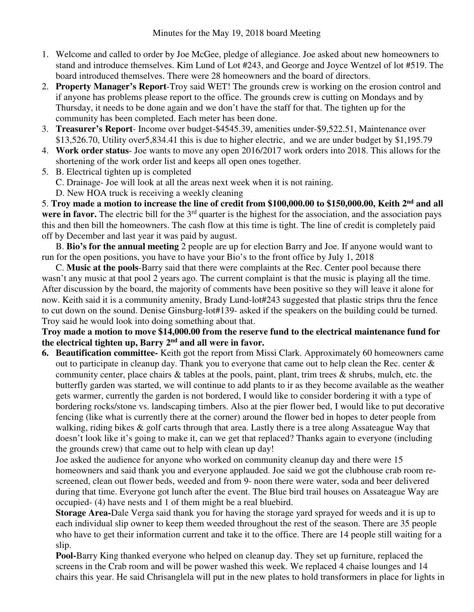- 1. Welcome and called to order by Joe McGee, pledge of allegiance. Joe asked about new homeowners to stand and introduce themselves. Kim Lund of Lot #243, and George and Joyce Wentzel of lot #519. The board introduced themselves. There were 28 homeowners and the board of directors.
- 2. **Property Manager's Report**-Troy said WET! The grounds crew is working on the erosion control and if anyone has problems please report to the office. The grounds crew is cutting on Mondays and by Thursday, it needs to be done again and we don't have the staff for that. The tighten up for the community has been completed. Each meter has been done.
- 3. **Treasurer's Report** Income over budget-\$4545.39, amenities under-\$9,522.51, Maintenance over \$13,526.70, Utility over5,834.41 this is due to higher electric, and we are under budget by \$1,195.79
- 4. **Work order status** Joe wants to move any open 2016/2017 work orders into 2018. This allows for the shortening of the work order list and keeps all open ones together.
- 5. B. Electrical tighten up is completed
	- C. Drainage- Joe will look at all the areas next week when it is not raining.
	- D. New HOA truck is receiving a weekly cleaning

5. **Troy made a motion to increase the line of credit from \$100,000.00 to \$150,000.00, Keith 2nd and all**  were in favor. The electric bill for the 3<sup>rd</sup> quarter is the highest for the association, and the association pays this and then bill the homeowners. The cash flow at this time is tight. The line of credit is completely paid off by December and last year it was paid by august.

 B. **Bio's for the annual meeting** 2 people are up for election Barry and Joe. If anyone would want to run for the open positions, you have to have your Bio's to the front office by July 1, 2018

 C. **Music at the pools**-Barry said that there were complaints at the Rec. Center pool because there wasn't any music at that pool 2 years ago. The current complaint is that the music is playing all the time. After discussion by the board, the majority of comments have been positive so they will leave it alone for now. Keith said it is a community amenity, Brady Lund-lot#243 suggested that plastic strips thru the fence to cut down on the sound. Denise Ginsburg-lot#139- asked if the speakers on the building could be turned. Troy said he would look into doing something about that.

## **Troy made a motion to move \$14,000.00 from the reserve fund to the electrical maintenance fund for the electrical tighten up, Barry 2nd and all were in favor.**

**6. Beautification committee-** Keith got the report from Missi Clark. Approximately 60 homeowners came out to participate in cleanup day. Thank you to everyone that came out to help clean the Rec. center & community center, place chairs & tables at the pools, paint, plant, trim trees & shrubs, mulch, etc. the butterfly garden was started, we will continue to add plants to ir as they become available as the weather gets warmer, currently the garden is not bordered, I would like to consider bordering it with a type of bordering rocks/stone vs. landscaping timbers. Also at the pier flower bed, I would like to put decorative fencing (like what is currently there at the corner) around the flower bed in hopes to deter people from walking, riding bikes & golf carts through that area. Lastly there is a tree along Assateague Way that doesn't look like it's going to make it, can we get that replaced? Thanks again to everyone (including the grounds crew) that came out to help with clean up day!

Joe asked the audience for anyone who worked on community cleanup day and there were 15 homeowners and said thank you and everyone applauded. Joe said we got the clubhouse crab room rescreened, clean out flower beds, weeded and from 9- noon there were water, soda and beer delivered during that time. Everyone got lunch after the event. The Blue bird trail houses on Assateague Way are occupied- (4) have nests and 1 of them might be a real bluebird.

**Storage Area-**Dale Verga said thank you for having the storage yard sprayed for weeds and it is up to each individual slip owner to keep them weeded throughout the rest of the season. There are 35 people who have to get their information current and take it to the office. There are 14 people still waiting for a slip.

**Pool-**Barry King thanked everyone who helped on cleanup day. They set up furniture, replaced the screens in the Crab room and will be power washed this week. We replaced 4 chaise lounges and 14 chairs this year. He said Chrisanglela will put in the new plates to hold transformers in place for lights in